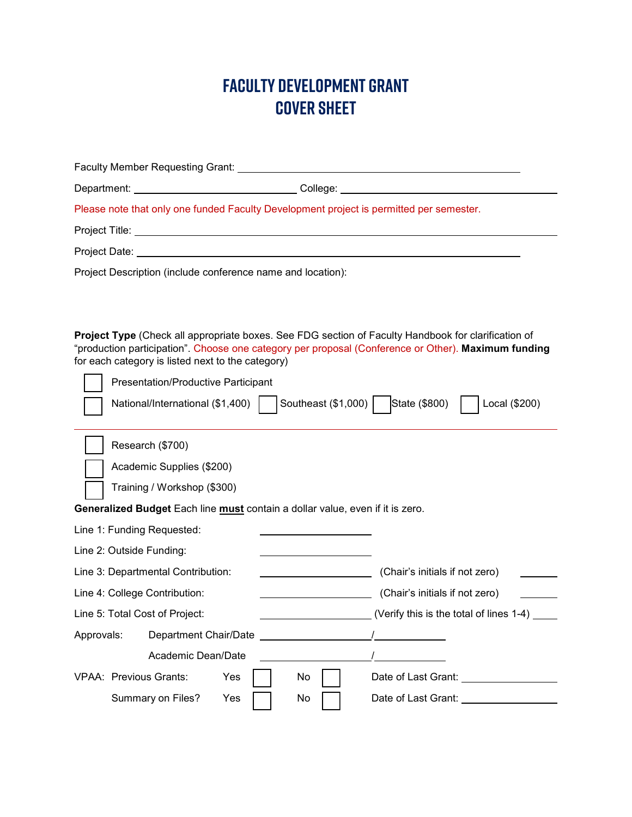## **FACULTY DEVELOPMENT GRANT COVER SHEET**

| College:<br>Department:<br><u> 1980 - Johann Barn, mars ar breithinn ar chomhair an t-Alban ann an t-Alban ann an t-Alban ann an t-Alban an</u>                                                                                                                                                        |                                                      |  |
|--------------------------------------------------------------------------------------------------------------------------------------------------------------------------------------------------------------------------------------------------------------------------------------------------------|------------------------------------------------------|--|
| Please note that only one funded Faculty Development project is permitted per semester.                                                                                                                                                                                                                |                                                      |  |
| Project Title: <u>www.community.com/interventions.com/interventions.com/interventions.com/interventions.com/interventions.com/interventions.com/interventions.com/interventions.com/interventions.com/interventions.com/interven</u>                                                                   |                                                      |  |
|                                                                                                                                                                                                                                                                                                        |                                                      |  |
| Project Description (include conference name and location):                                                                                                                                                                                                                                            |                                                      |  |
|                                                                                                                                                                                                                                                                                                        |                                                      |  |
| Project Type (Check all appropriate boxes. See FDG section of Faculty Handbook for clarification of<br>"production participation". Choose one category per proposal (Conference or Other). Maximum funding<br>for each category is listed next to the category)<br>Presentation/Productive Participant |                                                      |  |
| National/International (\$1,400)                                                                                                                                                                                                                                                                       | Southeast (\$1,000)   State (\$800)<br>Local (\$200) |  |
|                                                                                                                                                                                                                                                                                                        |                                                      |  |
| Research (\$700)                                                                                                                                                                                                                                                                                       |                                                      |  |
| Academic Supplies (\$200)                                                                                                                                                                                                                                                                              |                                                      |  |
| Training / Workshop (\$300)                                                                                                                                                                                                                                                                            |                                                      |  |
| Generalized Budget Each line must contain a dollar value, even if it is zero.                                                                                                                                                                                                                          |                                                      |  |
| Line 1: Funding Requested:                                                                                                                                                                                                                                                                             |                                                      |  |
| Line 2: Outside Funding:                                                                                                                                                                                                                                                                               |                                                      |  |
| Line 3: Departmental Contribution:                                                                                                                                                                                                                                                                     | (Chair's initials if not zero)                       |  |
| Line 4: College Contribution:<br><u> 1989 - Johann Barnett, fransk politiker (</u>                                                                                                                                                                                                                     | (Chair's initials if not zero)                       |  |
| Line 5: Total Cost of Project:                                                                                                                                                                                                                                                                         | (Verify this is the total of lines 1-4)              |  |
| Approvals:<br>Department Chair/Date ______________                                                                                                                                                                                                                                                     |                                                      |  |
| Academic Dean/Date                                                                                                                                                                                                                                                                                     |                                                      |  |
| <b>VPAA: Previous Grants:</b><br>Yes<br>No                                                                                                                                                                                                                                                             | Date of Last Grant:                                  |  |
| Summary on Files?<br>Yes<br>No                                                                                                                                                                                                                                                                         | Date of Last Grant: __                               |  |